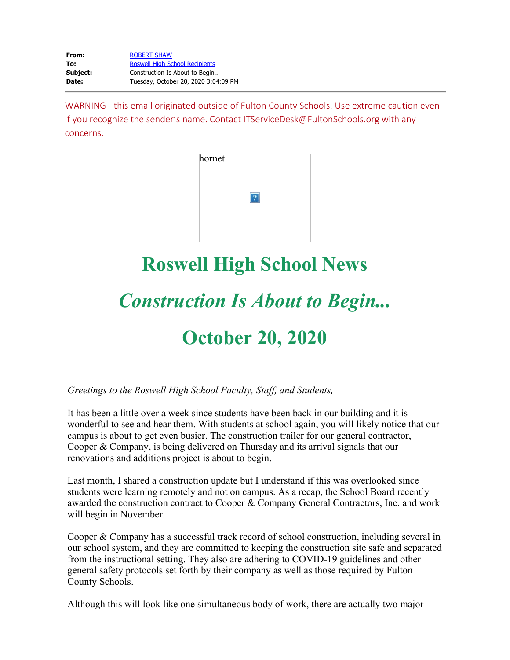| From:    | <b>ROBERT SHAW</b><br><b>Roswell High School Recipients</b><br>Construction Is About to Begin |  |
|----------|-----------------------------------------------------------------------------------------------|--|
| To:      |                                                                                               |  |
| Subject: |                                                                                               |  |
| Date:    | Tuesday, October 20, 2020 3:04:09 PM                                                          |  |

WARNING - this email originated outside of Fulton County Schools. Use extreme caution even if you recognize the sender's name. Contact ITServiceDesk@FultonSchools.org with any concerns.

| hornet |  |
|--------|--|
|        |  |
|        |  |

# **Roswell High School News**

# *Construction Is About to Begin...*

## **October 20, 2020**

#### *Greetings to the Roswell High School Faculty, Staff, and Students,*

It has been a little over a week since students have been back in our building and it is wonderful to see and hear them. With students at school again, you will likely notice that our campus is about to get even busier. The construction trailer for our general contractor, Cooper & Company, is being delivered on Thursday and its arrival signals that our renovations and additions project is about to begin.

Last month, I shared a construction update but I understand if this was overlooked since students were learning remotely and not on campus. As a recap, the School Board recently awarded the construction contract to Cooper & Company General Contractors, Inc. and work will begin in November.

Cooper & Company has a successful track record of school construction, including several in our school system, and they are committed to keeping the construction site safe and separated from the instructional setting. They also are adhering to COVID-19 guidelines and other general safety protocols set forth by their company as well as those required by Fulton County Schools.

Although this will look like one simultaneous body of work, there are actually two major